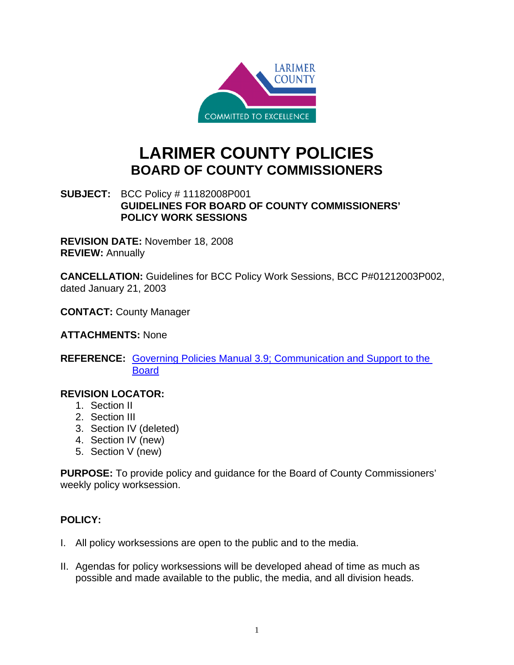

## **LARIMER COUNTY POLICIES BOARD OF COUNTY COMMISSIONERS**

## **SUBJECT:** BCC Policy # 11182008P001 **GUIDELINES FOR BOARD OF COUNTY COMMISSIONERS' POLICY WORK SESSIONS**

**REVISION DATE:** November 18, 2008 **REVIEW:** Annually

**CANCELLATION:** Guidelines for BCC Policy Work Sessions, BCC P#01212003P002, dated January 21, 2003

**CONTACT:** County Manager

**ATTACHMENTS:** None

**REFERENCE:** Governing Policies Manual 3.9; Communication and Support to the Board

## **REVISION LOCATOR:**

- 1. Section II
- 2. Section III
- 3. Section IV (deleted)
- 4. Section IV (new)
- 5. Section V (new)

**PURPOSE:** To provide policy and guidance for the Board of County Commissioners' weekly policy worksession.

## **POLICY:**

- I. All policy worksessions are open to the public and to the media.
- II. Agendas for policy worksessions will be developed ahead of time as much as possible and made available to the public, the media, and all division heads.